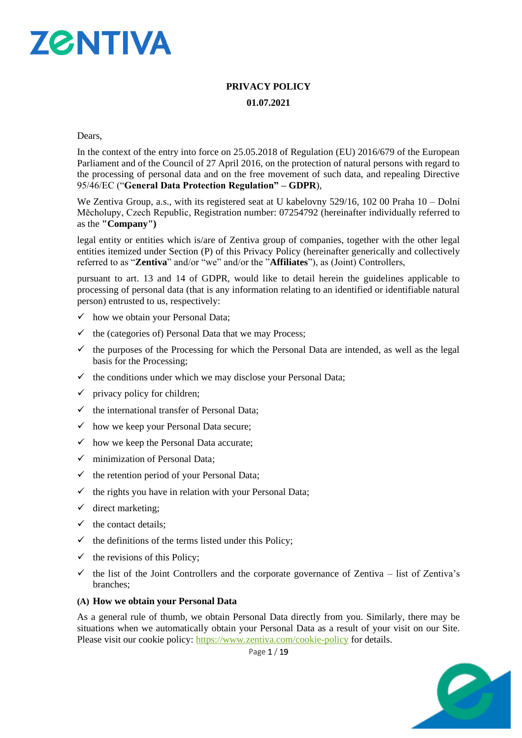

# **PRIVACY POLICY 01.07.2021**

Dears,

In the context of the entry into force on 25.05.2018 of Regulation (EU) 2016/679 of the European Parliament and of the Council of 27 April 2016, on the protection of natural persons with regard to the processing of personal data and on the free movement of such data, and repealing Directive 95/46/EC ("**General Data Protection Regulation" – GDPR**),

We Zentiva Group, a.s., with its registered seat at U kabelovny 529/16, 102 00 Praha 10 – Dolní Měcholupy, Czech Republic, Registration number: 07254792 (hereinafter individually referred to as the **"Company")**

legal entity or entities which is/are of Zentiva group of companies, together with the other legal entities itemized under Section (P) of this Privacy Policy (hereinafter generically and collectively referred to as "**Zentiva**" and/or "we" and/or the "**Affiliates**"), as (Joint) Controllers,

pursuant to art. 13 and 14 of GDPR, would like to detail herein the guidelines applicable to processing of personal data (that is any information relating to an identified or identifiable natural person) entrusted to us, respectively:

- $\checkmark$  how we obtain your Personal Data;
- $\checkmark$  the (categories of) Personal Data that we may Process;
- $\checkmark$  the purposes of the Processing for which the Personal Data are intended, as well as the legal basis for the Processing;
- $\checkmark$  the conditions under which we may disclose your Personal Data;
- $\checkmark$  privacy policy for children;
- $\checkmark$  the international transfer of Personal Data;
- $\checkmark$  how we keep your Personal Data secure;
- $\checkmark$  how we keep the Personal Data accurate;
- $\checkmark$  minimization of Personal Data:
- $\checkmark$  the retention period of your Personal Data;
- $\checkmark$  the rights you have in relation with your Personal Data;
- $\checkmark$  direct marketing;
- $\checkmark$  the contact details:
- $\checkmark$  the definitions of the terms listed under this Policy;
- $\checkmark$  the revisions of this Policy;
- $\checkmark$  the list of the Joint Controllers and the corporate governance of Zentiva list of Zentiva's branches;

#### **(A) How we obtain your Personal Data**

As a general rule of thumb, we obtain Personal Data directly from you. Similarly, there may be situations when we automatically obtain your Personal Data as a result of your visit on our Site. Please visit our cookie policy:<https://www.zentiva.com/cookie-policy> for details.

Page 1 / 19

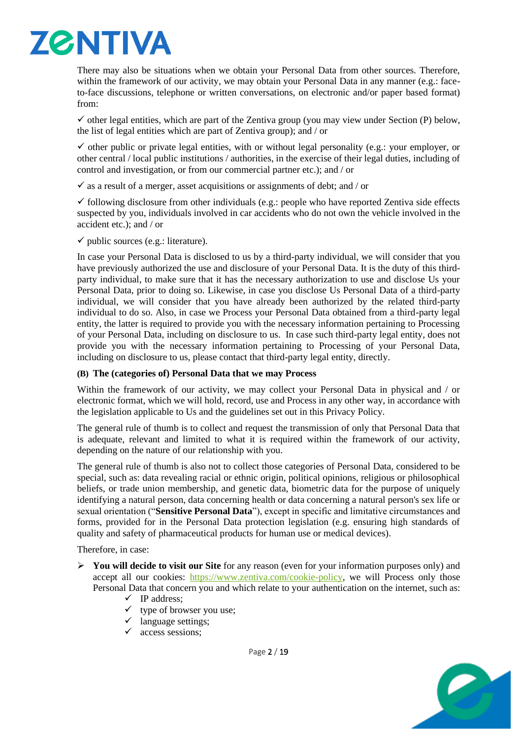

There may also be situations when we obtain your Personal Data from other sources. Therefore, within the framework of our activity, we may obtain your Personal Data in any manner (e.g.: faceto-face discussions, telephone or written conversations, on electronic and/or paper based format) from:

 $\checkmark$  other legal entities, which are part of the Zentiva group (you may view under Section (P) below, the list of legal entities which are part of Zentiva group); and / or

 $\checkmark$  other public or private legal entities, with or without legal personality (e.g.: your employer, or other central / local public institutions / authorities, in the exercise of their legal duties, including of control and investigation, or from our commercial partner etc.); and / or

 $\checkmark$  as a result of a merger, asset acquisitions or assignments of debt; and / or

 $\checkmark$  following disclosure from other individuals (e.g.: people who have reported Zentiva side effects suspected by you, individuals involved in car accidents who do not own the vehicle involved in the accident etc.); and / or

 $\checkmark$  public sources (e.g.: literature).

In case your Personal Data is disclosed to us by a third-party individual, we will consider that you have previously authorized the use and disclosure of your Personal Data. It is the duty of this thirdparty individual, to make sure that it has the necessary authorization to use and disclose Us your Personal Data, prior to doing so. Likewise, in case you disclose Us Personal Data of a third-party individual, we will consider that you have already been authorized by the related third-party individual to do so. Also, in case we Process your Personal Data obtained from a third-party legal entity, the latter is required to provide you with the necessary information pertaining to Processing of your Personal Data, including on disclosure to us. In case such third-party legal entity, does not provide you with the necessary information pertaining to Processing of your Personal Data, including on disclosure to us, please contact that third-party legal entity, directly.

#### **(B) The (categories of) Personal Data that we may Process**

Within the framework of our activity, we may collect your Personal Data in physical and / or electronic format, which we will hold, record, use and Process in any other way, in accordance with the legislation applicable to Us and the guidelines set out in this Privacy Policy.

The general rule of thumb is to collect and request the transmission of only that Personal Data that is adequate, relevant and limited to what it is required within the framework of our activity, depending on the nature of our relationship with you.

The general rule of thumb is also not to collect those categories of Personal Data, considered to be special, such as: data revealing racial or ethnic origin, political opinions, religious or philosophical beliefs, or trade union membership, and genetic data, biometric data for the purpose of uniquely identifying a natural person, data concerning health or data concerning a natural person's sex life or sexual orientation ("**Sensitive Personal Data**"), except in specific and limitative circumstances and forms, provided for in the Personal Data protection legislation (e.g. ensuring high standards of quality and safety of pharmaceutical products for human use or medical devices).

Therefore, in case:

- ➢ **You will decide to visit our Site** for any reason (even for your information purposes only) and accept all our cookies: [https://www.zentiva.com/cookie-policy,](https://www.zentiva.com/cookie-policy) we will Process only those Personal Data that concern you and which relate to your authentication on the internet, such as:
	- ✓ IP address;
	- $\checkmark$  type of browser you use;
	- $\checkmark$  language settings;
	- $\checkmark$  access sessions:

Page 2 / 19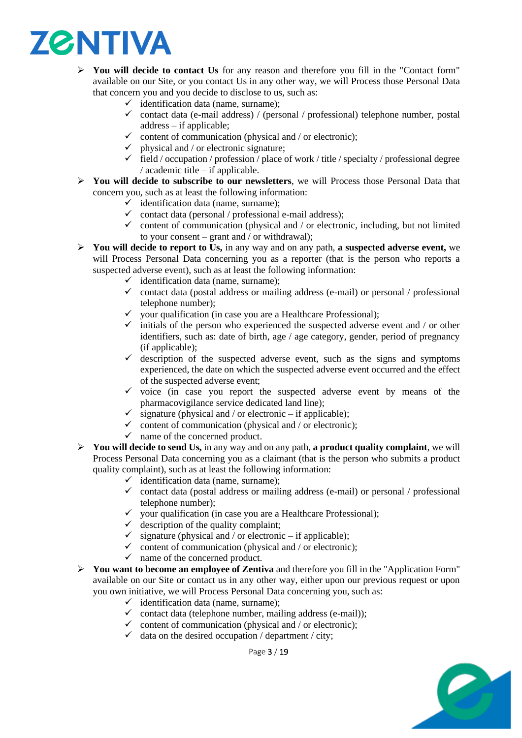

- ➢ **You will decide to contact Us** for any reason and therefore you fill in the "Contact form" available on our Site, or you contact Us in any other way, we will Process those Personal Data that concern you and you decide to disclose to us, such as:
	- $\checkmark$  identification data (name, surname):
	- $\checkmark$  contact data (e-mail address) / (personal / professional) telephone number, postal address – if applicable;
	- $\checkmark$  content of communication (physical and / or electronic);
	- $\checkmark$  physical and / or electronic signature;
	- $\checkmark$  field / occupation / profession / place of work / title / specialty / professional degree / academic title – if applicable.
- ➢ **You will decide to subscribe to our newsletters**, we will Process those Personal Data that concern you, such as at least the following information:
	- $\checkmark$  identification data (name, surname);
	- $\checkmark$  contact data (personal / professional e-mail address);
	- $\checkmark$  content of communication (physical and / or electronic, including, but not limited to your consent – grant and / or withdrawal);
- ➢ **You will decide to report to Us,** in any way and on any path, **a suspected adverse event,** we will Process Personal Data concerning you as a reporter (that is the person who reports a suspected adverse event), such as at least the following information:
	- $\checkmark$  identification data (name, surname);
	- $\checkmark$  contact data (postal address or mailing address (e-mail) or personal / professional telephone number);
	- $\checkmark$  your qualification (in case you are a Healthcare Professional);
	- $\checkmark$  initials of the person who experienced the suspected adverse event and / or other identifiers, such as: date of birth, age / age category, gender, period of pregnancy (if applicable);
	- $\checkmark$  description of the suspected adverse event, such as the signs and symptoms experienced, the date on which the suspected adverse event occurred and the effect of the suspected adverse event;
	- $\checkmark$  voice (in case you report the suspected adverse event by means of the pharmacovigilance service dedicated land line);
	- $\checkmark$  signature (physical and / or electronic if applicable);
	- $\checkmark$  content of communication (physical and / or electronic);
	- $\checkmark$  name of the concerned product.
- ➢ **You will decide to send Us,** in any way and on any path, **a product quality complaint**, we will Process Personal Data concerning you as a claimant (that is the person who submits a product quality complaint), such as at least the following information:
	- $\checkmark$  identification data (name, surname);
	- ✓ contact data (postal address or mailing address (e-mail) or personal / professional telephone number);
	- $\checkmark$  your qualification (in case you are a Healthcare Professional);
	- $\checkmark$  description of the quality complaint;
	- $\checkmark$  signature (physical and / or electronic if applicable);
	- $\checkmark$  content of communication (physical and / or electronic);
	- $\checkmark$  name of the concerned product.
- ➢ **You want to become an employee of Zentiva** and therefore you fill in the "Application Form" available on our Site or contact us in any other way, either upon our previous request or upon you own initiative, we will Process Personal Data concerning you, such as:
	- $\checkmark$  identification data (name, surname);
	- $\checkmark$  contact data (telephone number, mailing address (e-mail));
	- $\checkmark$  content of communication (physical and / or electronic);
	- $\checkmark$  data on the desired occupation / department / city;

Page 3 / 19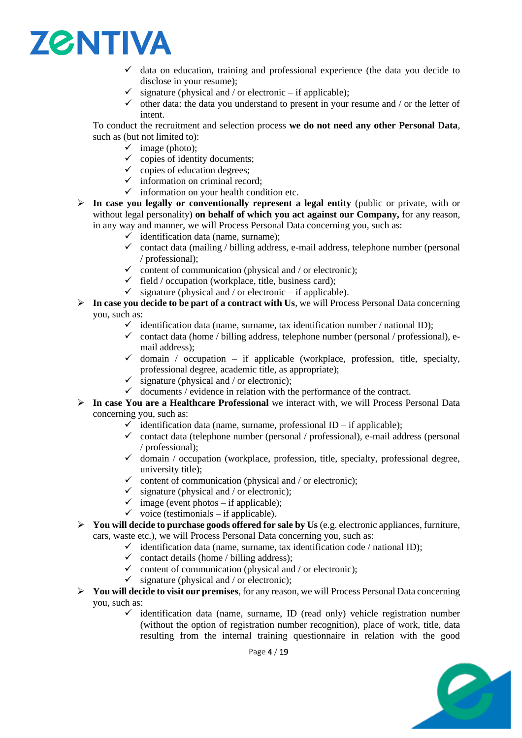

- $\checkmark$  data on education, training and professional experience (the data you decide to disclose in your resume);
- $\checkmark$  signature (physical and / or electronic if applicable);
- $\checkmark$  other data: the data you understand to present in your resume and / or the letter of intent.

To conduct the recruitment and selection process **we do not need any other Personal Data**, such as (but not limited to):

- $\checkmark$  image (photo);
- $\checkmark$  copies of identity documents;
- $\checkmark$  copies of education degrees;
- $\checkmark$  information on criminal record;
- $\checkmark$  information on your health condition etc.
- ➢ **In case you legally or conventionally represent a legal entity** (public or private, with or without legal personality) **on behalf of which you act against our Company,** for any reason, in any way and manner, we will Process Personal Data concerning you, such as:
	- $\checkmark$  identification data (name, surname);
	- $\checkmark$  contact data (mailing / billing address, e-mail address, telephone number (personal / professional);
	- $\checkmark$  content of communication (physical and / or electronic);
	- $\checkmark$  field / occupation (workplace, title, business card);
	- $\checkmark$  signature (physical and / or electronic if applicable).
- ➢ **In case you decide to be part of a contract with Us**, we will Process Personal Data concerning you, such as:
	- $\checkmark$  identification data (name, surname, tax identification number / national ID);
	- $\checkmark$  contact data (home / billing address, telephone number (personal / professional), email address);
	- $\checkmark$  domain / occupation if applicable (workplace, profession, title, specialty, professional degree, academic title, as appropriate);
	- $\checkmark$  signature (physical and / or electronic);
	- $\checkmark$  documents / evidence in relation with the performance of the contract.
- ➢ **In case You are a Healthcare Professional** we interact with, we will Process Personal Data concerning you, such as:
	- $\checkmark$  identification data (name, surname, professional ID if applicable);
	- $\checkmark$  contact data (telephone number (personal / professional), e-mail address (personal / professional);
	- $\checkmark$  domain / occupation (workplace, profession, title, specialty, professional degree, university title);
	- $\checkmark$  content of communication (physical and / or electronic);
	- $\checkmark$  signature (physical and / or electronic);
	- $\checkmark$  image (event photos if applicable);
	- $\checkmark$  voice (testimonials if applicable).
- ➢ **You will decide to purchase goods offered for sale by Us** (e.g. electronic appliances, furniture, cars, waste etc.), we will Process Personal Data concerning you, such as:
	- $\checkmark$  identification data (name, surname, tax identification code / national ID);
		- $\checkmark$  contact details (home / billing address);
		- $\checkmark$  content of communication (physical and / or electronic);
	- $\checkmark$  signature (physical and / or electronic);
- ➢ **You will decide to visit our premises**, for any reason, we will Process Personal Data concerning you, such as:
	- $\checkmark$  identification data (name, surname, ID (read only) vehicle registration number (without the option of registration number recognition), place of work, title, data resulting from the internal training questionnaire in relation with the good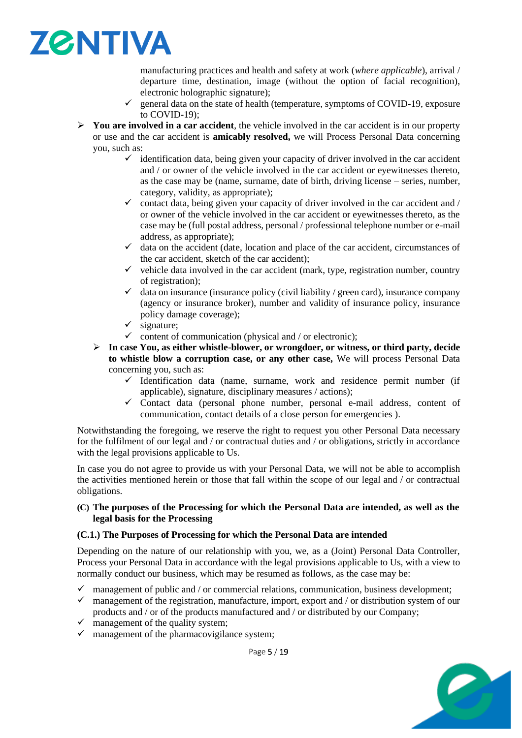

manufacturing practices and health and safety at work (*where applicable*), arrival / departure time, destination, image (without the option of facial recognition), electronic holographic signature);

- $\checkmark$  general data on the state of health (temperature, symptoms of COVID-19, exposure to COVID-19);
- ➢ **You are involved in a car accident**, the vehicle involved in the car accident is in our property or use and the car accident is **amicably resolved,** we will Process Personal Data concerning you, such as:
	- $\checkmark$  identification data, being given your capacity of driver involved in the car accident and / or owner of the vehicle involved in the car accident or eyewitnesses thereto, as the case may be (name, surname, date of birth, driving license – series, number, category, validity, as appropriate);
	- $\checkmark$  contact data, being given your capacity of driver involved in the car accident and / or owner of the vehicle involved in the car accident or eyewitnesses thereto, as the case may be (full postal address, personal / professional telephone number or e-mail address, as appropriate);
	- $\checkmark$  data on the accident (date, location and place of the car accident, circumstances of the car accident, sketch of the car accident);
	- $\checkmark$  vehicle data involved in the car accident (mark, type, registration number, country of registration);
	- $\checkmark$  data on insurance (insurance policy (civil liability / green card), insurance company (agency or insurance broker), number and validity of insurance policy, insurance policy damage coverage);
	- $\checkmark$  signature:
	- $\checkmark$  content of communication (physical and / or electronic);
	- ➢ **In case You, as either whistle-blower, or wrongdoer, or witness, or third party, decide to whistle blow a corruption case, or any other case,** We will process Personal Data concerning you, such as:
		- $\checkmark$  Identification data (name, surname, work and residence permit number (if applicable), signature, disciplinary measures / actions);
		- $\checkmark$  Contact data (personal phone number, personal e-mail address, content of communication, contact details of a close person for emergencies ).

Notwithstanding the foregoing, we reserve the right to request you other Personal Data necessary for the fulfilment of our legal and / or contractual duties and / or obligations, strictly in accordance with the legal provisions applicable to Us.

In case you do not agree to provide us with your Personal Data, we will not be able to accomplish the activities mentioned herein or those that fall within the scope of our legal and / or contractual obligations.

#### **(C) The purposes of the Processing for which the Personal Data are intended, as well as the legal basis for the Processing**

#### **(C.1.) The Purposes of Processing for which the Personal Data are intended**

Depending on the nature of our relationship with you, we, as a (Joint) Personal Data Controller, Process your Personal Data in accordance with the legal provisions applicable to Us, with a view to normally conduct our business, which may be resumed as follows, as the case may be:

- $\checkmark$  management of public and / or commercial relations, communication, business development;
- $\checkmark$  management of the registration, manufacture, import, export and / or distribution system of our products and / or of the products manufactured and / or distributed by our Company;
- $\checkmark$  management of the quality system;
- $\checkmark$  management of the pharmacovigilance system;



Page 5 / 19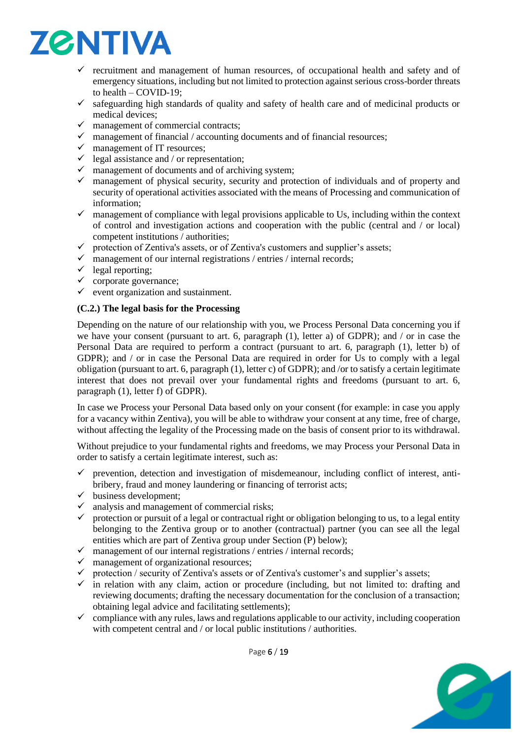

- $\checkmark$  recruitment and management of human resources, of occupational health and safety and of emergency situations, including but not limited to protection against serious cross-border threats to health – COVID-19;
- $\checkmark$  safeguarding high standards of quality and safety of health care and of medicinal products or medical devices;
- $\checkmark$  management of commercial contracts;
- $\checkmark$  management of financial / accounting documents and of financial resources;
- $\checkmark$  management of IT resources;
- $\checkmark$  legal assistance and / or representation;
- $\checkmark$  management of documents and of archiving system;
- ✓ management of physical security, security and protection of individuals and of property and security of operational activities associated with the means of Processing and communication of information;
- $\checkmark$  management of compliance with legal provisions applicable to Us, including within the context of control and investigation actions and cooperation with the public (central and / or local) competent institutions / authorities;
- $\checkmark$  protection of Zentiva's assets, or of Zentiva's customers and supplier's assets;
- $\checkmark$  management of our internal registrations / entries / internal records;
- $\checkmark$  legal reporting;
- $\checkmark$  corporate governance;
- $\checkmark$  event organization and sustainment.

#### **(C.2.) The legal basis for the Processing**

Depending on the nature of our relationship with you, we Process Personal Data concerning you if we have your consent (pursuant to art. 6, paragraph (1), letter a) of GDPR); and / or in case the Personal Data are required to perform a contract (pursuant to art. 6, paragraph (1), letter b) of GDPR); and / or in case the Personal Data are required in order for Us to comply with a legal obligation (pursuant to art. 6, paragraph (1), letter c) of GDPR); and /or to satisfy a certain legitimate interest that does not prevail over your fundamental rights and freedoms (pursuant to art. 6, paragraph (1), letter f) of GDPR).

In case we Process your Personal Data based only on your consent (for example: in case you apply for a vacancy within Zentiva), you will be able to withdraw your consent at any time, free of charge, without affecting the legality of the Processing made on the basis of consent prior to its withdrawal.

Without prejudice to your fundamental rights and freedoms, we may Process your Personal Data in order to satisfy a certain legitimate interest, such as:

- $\checkmark$  prevention, detection and investigation of misdemeanour, including conflict of interest, antibribery, fraud and money laundering or financing of terrorist acts;
- $\checkmark$  business development;
- $\checkmark$  analysis and management of commercial risks;
- $\checkmark$  protection or pursuit of a legal or contractual right or obligation belonging to us, to a legal entity belonging to the Zentiva group or to another (contractual) partner (you can see all the legal entities which are part of Zentiva group under Section (P) below);
- $\checkmark$  management of our internal registrations / entries / internal records;
- $\checkmark$  management of organizational resources;
- $\checkmark$  protection / security of Zentiva's assets or of Zentiva's customer's and supplier's assets;
- $\checkmark$  in relation with any claim, action or procedure (including, but not limited to: drafting and reviewing documents; drafting the necessary documentation for the conclusion of a transaction; obtaining legal advice and facilitating settlements);
- $\checkmark$  compliance with any rules, laws and regulations applicable to our activity, including cooperation with competent central and / or local public institutions / authorities.

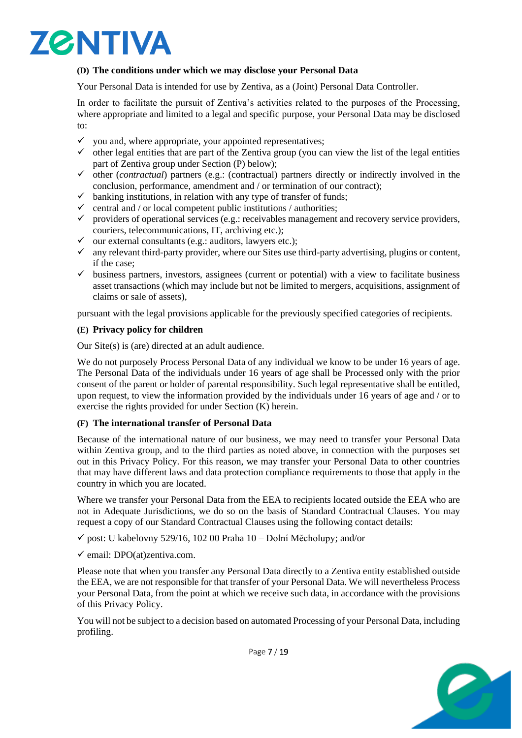# **ZØNTIVA**

### **(D) The conditions under which we may disclose your Personal Data**

Your Personal Data is intended for use by Zentiva, as a (Joint) Personal Data Controller.

In order to facilitate the pursuit of Zentiva's activities related to the purposes of the Processing, where appropriate and limited to a legal and specific purpose, your Personal Data may be disclosed to:

- $\checkmark$  you and, where appropriate, your appointed representatives;
- $\checkmark$  other legal entities that are part of the Zentiva group (you can view the list of the legal entities part of Zentiva group under Section (P) below);
- ✓ other (*contractual*) partners (e.g.: (contractual) partners directly or indirectly involved in the conclusion, performance, amendment and / or termination of our contract);
- $\checkmark$  banking institutions, in relation with any type of transfer of funds;
- $\checkmark$  central and / or local competent public institutions / authorities;
- $\checkmark$  providers of operational services (e.g.: receivables management and recovery service providers, couriers, telecommunications, IT, archiving etc.);
- $\checkmark$  our external consultants (e.g.: auditors, lawyers etc.);
- $\checkmark$  any relevant third-party provider, where our Sites use third-party advertising, plugins or content, if the case;
- $\checkmark$  business partners, investors, assignees (current or potential) with a view to facilitate business asset transactions (which may include but not be limited to mergers, acquisitions, assignment of claims or sale of assets),

pursuant with the legal provisions applicable for the previously specified categories of recipients.

#### **(E) Privacy policy for children**

Our Site(s) is (are) directed at an adult audience.

We do not purposely Process Personal Data of any individual we know to be under 16 years of age. The Personal Data of the individuals under 16 years of age shall be Processed only with the prior consent of the parent or holder of parental responsibility. Such legal representative shall be entitled, upon request, to view the information provided by the individuals under 16 years of age and / or to exercise the rights provided for under Section (K) herein.

#### **(F) The international transfer of Personal Data**

Because of the international nature of our business, we may need to transfer your Personal Data within Zentiva group, and to the third parties as noted above, in connection with the purposes set out in this Privacy Policy. For this reason, we may transfer your Personal Data to other countries that may have different laws and data protection compliance requirements to those that apply in the country in which you are located.

Where we transfer your Personal Data from the EEA to recipients located outside the EEA who are not in Adequate Jurisdictions, we do so on the basis of Standard Contractual Clauses. You may request a copy of our Standard Contractual Clauses using the following contact details:

- $\checkmark$  post: U kabelovny 529/16, 102 00 Praha 10 Dolní Měcholupy; and/or
- $\checkmark$  email: DPO(at)zentiva.com.

Please note that when you transfer any Personal Data directly to a Zentiva entity established outside the EEA, we are not responsible for that transfer of your Personal Data. We will nevertheless Process your Personal Data, from the point at which we receive such data, in accordance with the provisions of this Privacy Policy.

You will not be subject to a decision based on automated Processing of your Personal Data, including profiling.



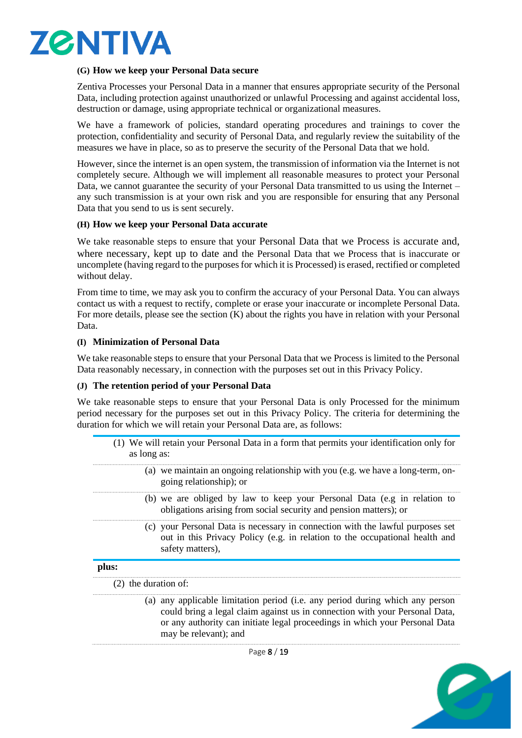

#### **(G) How we keep your Personal Data secure**

Zentiva Processes your Personal Data in a manner that ensures appropriate security of the Personal Data, including protection against unauthorized or unlawful Processing and against accidental loss, destruction or damage, using appropriate technical or organizational measures.

We have a framework of policies, standard operating procedures and trainings to cover the protection, confidentiality and security of Personal Data, and regularly review the suitability of the measures we have in place, so as to preserve the security of the Personal Data that we hold.

However, since the internet is an open system, the transmission of information via the Internet is not completely secure. Although we will implement all reasonable measures to protect your Personal Data, we cannot guarantee the security of your Personal Data transmitted to us using the Internet – any such transmission is at your own risk and you are responsible for ensuring that any Personal Data that you send to us is sent securely.

#### **(H) How we keep your Personal Data accurate**

We take reasonable steps to ensure that your Personal Data that we Process is accurate and, where necessary, kept up to date and the Personal Data that we Process that is inaccurate or uncomplete (having regard to the purposes for which it is Processed) is erased, rectified or completed without delay.

From time to time, we may ask you to confirm the accuracy of your Personal Data. You can always contact us with a request to rectify, complete or erase your inaccurate or incomplete Personal Data. For more details, please see the section (K) about the rights you have in relation with your Personal Data.

#### **(I) Minimization of Personal Data**

We take reasonable steps to ensure that your Personal Data that we Process is limited to the Personal Data reasonably necessary, in connection with the purposes set out in this Privacy Policy.

#### **(J) The retention period of your Personal Data**

We take reasonable steps to ensure that your Personal Data is only Processed for the minimum period necessary for the purposes set out in this Privacy Policy. The criteria for determining the duration for which we will retain your Personal Data are, as follows:

<span id="page-7-2"></span><span id="page-7-1"></span><span id="page-7-0"></span>

| as long as:            | (1) We will retain your Personal Data in a form that permits your identification only for                                                                                                                                                                            |
|------------------------|----------------------------------------------------------------------------------------------------------------------------------------------------------------------------------------------------------------------------------------------------------------------|
|                        | (a) we maintain an ongoing relationship with you (e.g. we have a long-term, on-<br>going relationship); or                                                                                                                                                           |
|                        | (b) we are obliged by law to keep your Personal Data (e.g in relation to<br>obligations arising from social security and pension matters); or                                                                                                                        |
|                        | (c) your Personal Data is necessary in connection with the lawful purposes set<br>out in this Privacy Policy (e.g. in relation to the occupational health and<br>safety matters),                                                                                    |
| plus:                  |                                                                                                                                                                                                                                                                      |
| $(2)$ the duration of: |                                                                                                                                                                                                                                                                      |
|                        | (a) any applicable limitation period (i.e. any period during which any person<br>could bring a legal claim against us in connection with your Personal Data,<br>or any authority can initiate legal proceedings in which your Personal Data<br>may be relevant); and |
|                        | $D0 = 0.110$                                                                                                                                                                                                                                                         |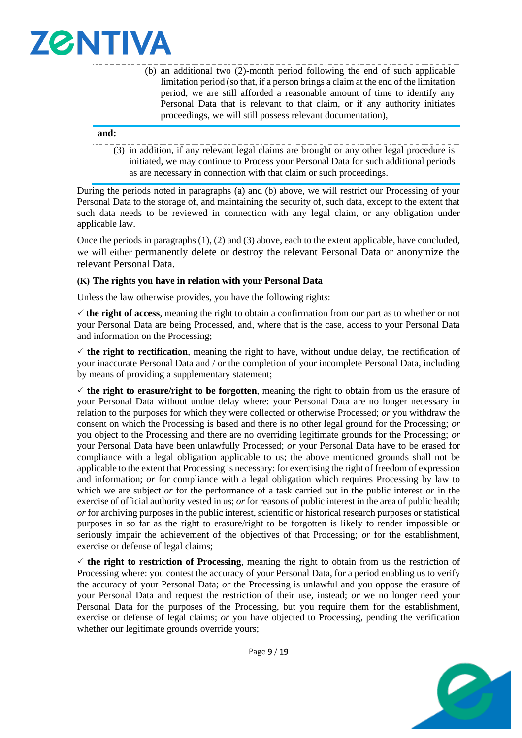

<span id="page-8-0"></span>(b) an additional two (2)-month period following the end of such applicable limitation period (so that, if a person brings a claim at the end of the limitation period, we are still afforded a reasonable amount of time to identify any Personal Data that is relevant to that claim, or if any authority initiates proceedings, we will still possess relevant documentation),

#### **and:**

<span id="page-8-1"></span>(3) in addition, if any relevant legal claims are brought or any other legal procedure is initiated, we may continue to Process your Personal Data for such additional periods as are necessary in connection with that claim or such proceedings.

During the periods noted in paragraphs [\(a\)](#page-7-0) and [\(b\)](#page-8-0) above, we will restrict our Processing of your Personal Data to the storage of, and maintaining the security of, such data, except to the extent that such data needs to be reviewed in connection with any legal claim, or any obligation under applicable law.

Once the periods in paragraphs [\(1\),](#page-7-1) [\(2\)](#page-7-2) an[d \(3\)](#page-8-1) above, each to the extent applicable, have concluded, we will either permanently delete or destroy the relevant Personal Data or anonymize the relevant Personal Data.

#### **(K) The rights you have in relation with your Personal Data**

Unless the law otherwise provides, you have the following rights:

 $\checkmark$  the right of access, meaning the right to obtain a confirmation from our part as to whether or not your Personal Data are being Processed, and, where that is the case, access to your Personal Data and information on the Processing;

 $\checkmark$  the right to rectification, meaning the right to have, without undue delay, the rectification of your inaccurate Personal Data and / or the completion of your incomplete Personal Data, including by means of providing a supplementary statement;

 $\checkmark$  the right to erasure/right to be forgotten, meaning the right to obtain from us the erasure of your Personal Data without undue delay where: your Personal Data are no longer necessary in relation to the purposes for which they were collected or otherwise Processed; *or* you withdraw the consent on which the Processing is based and there is no other legal ground for the Processing; *or*  you object to the Processing and there are no overriding legitimate grounds for the Processing; *or*  your Personal Data have been unlawfully Processed; *or* your Personal Data have to be erased for compliance with a legal obligation applicable to us; the above mentioned grounds shall not be applicable to the extent that Processing is necessary: for exercising the right of freedom of expression and information; *or* for compliance with a legal obligation which requires Processing by law to which we are subject *or* for the performance of a task carried out in the public interest *or* in the exercise of official authority vested in us; *or* for reasons of public interest in the area of public health; *or* for archiving purposes in the public interest, scientific or historical research purposes or statistical purposes in so far as the right to erasure/right to be forgotten is likely to render impossible or seriously impair the achievement of the objectives of that Processing; *or* for the establishment, exercise or defense of legal claims;

 $\checkmark$  the right to restriction of Processing, meaning the right to obtain from us the restriction of Processing where: you contest the accuracy of your Personal Data, for a period enabling us to verify the accuracy of your Personal Data; *or* the Processing is unlawful and you oppose the erasure of your Personal Data and request the restriction of their use, instead; *or* we no longer need your Personal Data for the purposes of the Processing, but you require them for the establishment, exercise or defense of legal claims; *or* you have objected to Processing, pending the verification whether our legitimate grounds override yours;



Page 9 / 19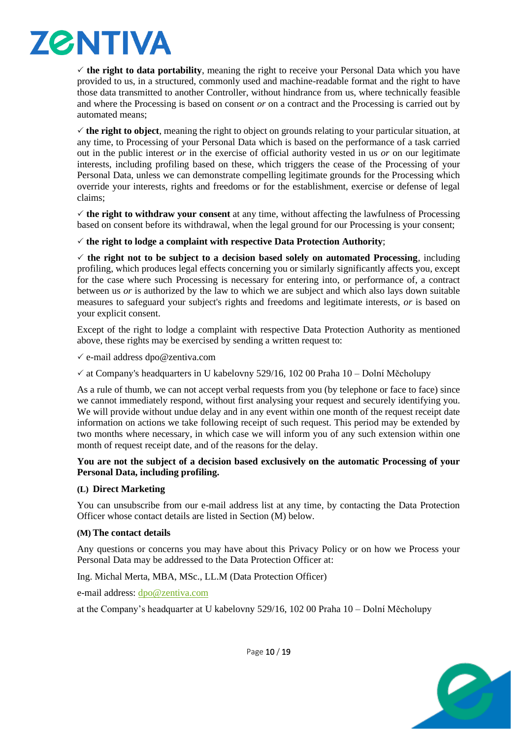

 $\checkmark$  the right to data portability, meaning the right to receive your Personal Data which you have provided to us, in a structured, commonly used and machine-readable format and the right to have those data transmitted to another Controller, without hindrance from us, where technically feasible and where the Processing is based on consent *or* on a contract and the Processing is carried out by automated means;

 $\checkmark$  the right to object, meaning the right to object on grounds relating to your particular situation, at any time, to Processing of your Personal Data which is based on the performance of a task carried out in the public interest *or* in the exercise of official authority vested in us *or* on our legitimate interests, including profiling based on these, which triggers the cease of the Processing of your Personal Data, unless we can demonstrate compelling legitimate grounds for the Processing which override your interests, rights and freedoms or for the establishment, exercise or defense of legal claims;

 $\checkmark$  the right to withdraw your consent at any time, without affecting the lawfulness of Processing based on consent before its withdrawal, when the legal ground for our Processing is your consent;

#### $\checkmark$  the right to lodge a complaint with respective Data Protection Authority;

 $\checkmark$  the right not to be subject to a decision based solely on automated Processing, including profiling, which produces legal effects concerning you or similarly significantly affects you, except for the case where such Processing is necessary for entering into, or performance of, a contract between us *or* is authorized by the law to which we are subject and which also lays down suitable measures to safeguard your subject's rights and freedoms and legitimate interests, *or* is based on your explicit consent.

Except of the right to lodge a complaint with respective Data Protection Authority as mentioned above, these rights may be exercised by sending a written request to:

 $\checkmark$  e-mail address dpo@zentiva.com

 $\checkmark$  at Company's headquarters in U kabelovny 529/16, 102 00 Praha 10 – Dolní Měcholupy

As a rule of thumb, we can not accept verbal requests from you (by telephone or face to face) since we cannot immediately respond, without first analysing your request and securely identifying you. We will provide without undue delay and in any event within one month of the request receipt date information on actions we take following receipt of such request. This period may be extended by two months where necessary, in which case we will inform you of any such extension within one month of request receipt date, and of the reasons for the delay.

#### **You are not the subject of a decision based exclusively on the automatic Processing of your Personal Data, including profiling.**

#### **(L) Direct Marketing**

You can unsubscribe from our e-mail address list at any time, by contacting the Data Protection Officer whose contact details are listed in Section (M) below.

#### **(M) The contact details**

Any questions or concerns you may have about this Privacy Policy or on how we Process your Personal Data may be addressed to the Data Protection Officer at:

Ing. Michal Merta, MBA, MSc., LL.M (Data Protection Officer)

e-mail address: [dpo@zentiva.com](mailto:dpo@zentiva.com)

at the Company's headquarter at U kabelovny 529/16, 102 00 Praha 10 – Dolní Měcholupy



Page 10 / 19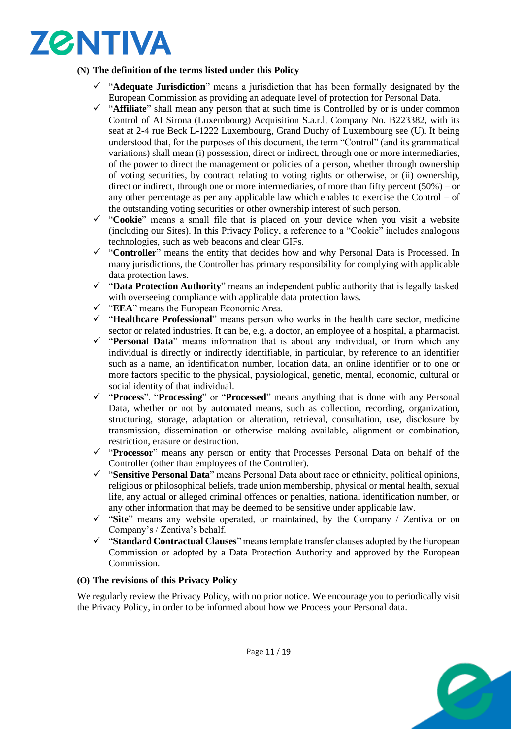# **ZØNTIVA**

### **(N) The definition of the terms listed under this Policy**

- "Adequate Jurisdiction" means a jurisdiction that has been formally designated by the European Commission as providing an adequate level of protection for Personal Data.
- ✓ "**Affiliate**" shall mean any person that at such time is Controlled by or is under common Control of AI Sirona (Luxembourg) Acquisition S.a.r.l, Company No. B223382, with its seat at 2-4 rue Beck L-1222 Luxembourg, Grand Duchy of Luxembourg see (U). It being understood that, for the purposes of this document, the term "Control" (and its grammatical variations) shall mean (i) possession, direct or indirect, through one or more intermediaries, of the power to direct the management or policies of a person, whether through ownership of voting securities, by contract relating to voting rights or otherwise, or (ii) ownership, direct or indirect, through one or more intermediaries, of more than fifty percent  $(50\%)$  – or any other percentage as per any applicable law which enables to exercise the Control – of the outstanding voting securities or other ownership interest of such person.
- ✓ "**Cookie**" means a small file that is placed on your device when you visit a website (including our Sites). In this Privacy Policy, a reference to a "Cookie" includes analogous technologies, such as web beacons and clear GIFs.
- ✓ "**Controller**" means the entity that decides how and why Personal Data is Processed. In many jurisdictions, the Controller has primary responsibility for complying with applicable data protection laws.
- ✓ "**Data Protection Authority**" means an independent public authority that is legally tasked with overseeing compliance with applicable data protection laws.
- ✓ "**EEA**" means the European Economic Area.
- ✓ "**Healthcare Professional**" means person who works in the health care sector, medicine sector or related industries. It can be, e.g. a doctor, an employee of a hospital, a pharmacist.
- ✓ "**Personal Data**" means information that is about any individual, or from which any individual is directly or indirectly identifiable, in particular, by reference to an identifier such as a name, an identification number, location data, an online identifier or to one or more factors specific to the physical, physiological, genetic, mental, economic, cultural or social identity of that individual.
- ✓ "**Process**", "**Processing**" or "**Processed**" means anything that is done with any Personal Data, whether or not by automated means, such as collection, recording, organization, structuring, storage, adaptation or alteration, retrieval, consultation, use, disclosure by transmission, dissemination or otherwise making available, alignment or combination, restriction, erasure or destruction.
- ✓ "**Processor**" means any person or entity that Processes Personal Data on behalf of the Controller (other than employees of the Controller).
- ✓ "**Sensitive Personal Data**" means Personal Data about race or ethnicity, political opinions, religious or philosophical beliefs, trade union membership, physical or mental health, sexual life, any actual or alleged criminal offences or penalties, national identification number, or any other information that may be deemed to be sensitive under applicable law.
- ✓ "**Site**" means any website operated, or maintained, by the Company / Zentiva or on Company's / Zentiva's behalf.
- ✓ "**Standard Contractual Clauses**" means template transfer clauses adopted by the European Commission or adopted by a Data Protection Authority and approved by the European Commission.

#### **(O) The revisions of this Privacy Policy**

We regularly review the Privacy Policy, with no prior notice. We encourage you to periodically visit the Privacy Policy, in order to be informed about how we Process your Personal data.

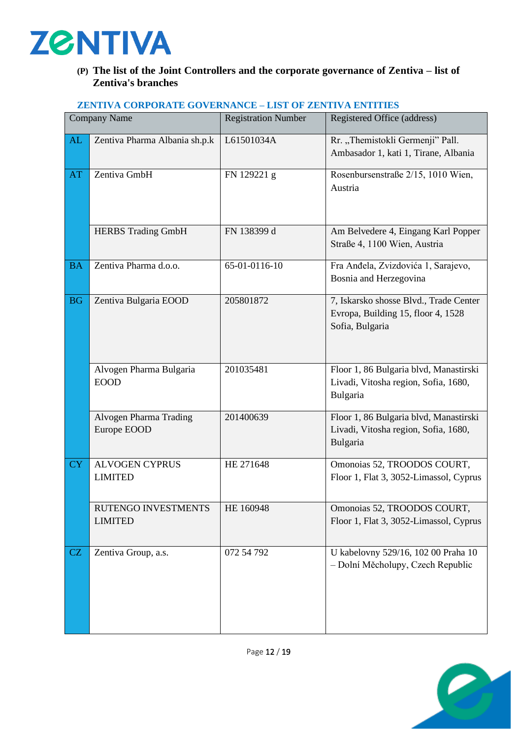

## **(P) The list of the Joint Controllers and the corporate governance of Zentiva – list of Zentiva's branches**

| <b>Company Name</b> |                                         | <b>Registration Number</b> | Registered Office (address)                                                                     |
|---------------------|-----------------------------------------|----------------------------|-------------------------------------------------------------------------------------------------|
| AL                  | Zentiva Pharma Albania sh.p.k           | L61501034A                 | Rr. "Themistokli Germenji" Pall.<br>Ambasador 1, kati 1, Tirane, Albania                        |
| AT                  | Zentiva GmbH                            | FN 129221 g                | Rosenbursenstraße 2/15, 1010 Wien,<br>Austria                                                   |
|                     | <b>HERBS Trading GmbH</b>               | FN 138399 d                | Am Belvedere 4, Eingang Karl Popper<br>Straße 4, 1100 Wien, Austria                             |
| <b>BA</b>           | Zentiva Pharma d.o.o.                   | 65-01-0116-10              | Fra Anđela, Zvizdovića 1, Sarajevo,<br>Bosnia and Herzegovina                                   |
| <b>BG</b>           | Zentiva Bulgaria EOOD                   | 205801872                  | 7, Iskarsko shosse Blvd., Trade Center<br>Evropa, Building 15, floor 4, 1528<br>Sofia, Bulgaria |
|                     | Alvogen Pharma Bulgaria<br><b>EOOD</b>  | 201035481                  | Floor 1, 86 Bulgaria blvd, Manastirski<br>Livadi, Vitosha region, Sofia, 1680,<br>Bulgaria      |
|                     | Alvogen Pharma Trading<br>Europe EOOD   | 201400639                  | Floor 1, 86 Bulgaria blvd, Manastirski<br>Livadi, Vitosha region, Sofia, 1680,<br>Bulgaria      |
| <b>CY</b>           | <b>ALVOGEN CYPRUS</b><br><b>LIMITED</b> | HE 271648                  | Omonoias 52, TROODOS COURT,<br>Floor 1, Flat 3, 3052-Limassol, Cyprus                           |
|                     | RUTENGO INVESTMENTS<br><b>LIMITED</b>   | HE 160948                  | Omonoias 52, TROODOS COURT,<br>Floor 1, Flat 3, 3052-Limassol, Cyprus                           |
| CZ                  | Zentiva Group, a.s.                     | 072 54 792                 | U kabelovny 529/16, 102 00 Praha 10<br>- Dolní Měcholupy, Czech Republic                        |

#### **ZENTIVA CORPORATE GOVERNANCE – LIST OF ZENTIVA ENTITIES**

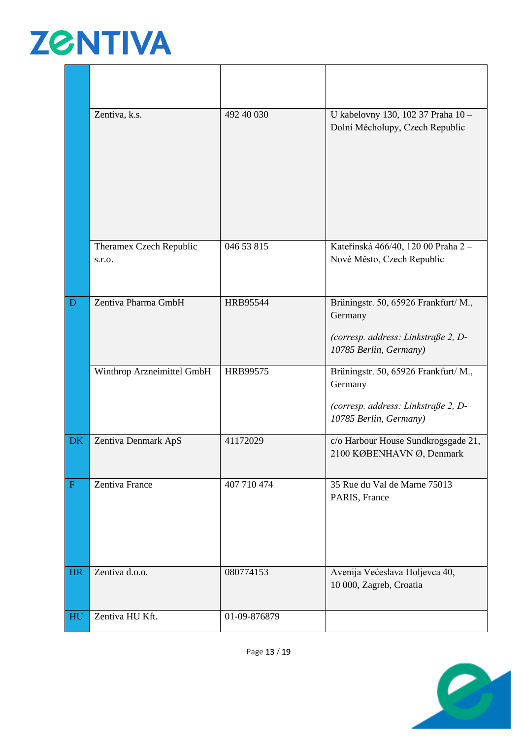

|              | Zentiva, k.s.                     | 492 40 030      | U kabelovny 130, 102 37 Praha 10 -<br>Dolní Měcholupy, Czech Republic                                            |
|--------------|-----------------------------------|-----------------|------------------------------------------------------------------------------------------------------------------|
|              | Theramex Czech Republic<br>s.r.o. | 046 53 815      | Kateřinská 466/40, 120 00 Praha 2 -<br>Nové Město, Czech Republic                                                |
| D            | Zentiva Pharma GmbH               | <b>HRB95544</b> | Brüningstr. 50, 65926 Frankfurt/ M.,<br>Germany<br>(corresp. address: Linkstraße 2, D-<br>10785 Berlin, Germany) |
|              | Winthrop Arzneimittel GmbH        | HRB99575        | Brüningstr. 50, 65926 Frankfurt/ M.,<br>Germany<br>(corresp. address: Linkstraße 2, D-<br>10785 Berlin, Germany) |
| <b>DK</b>    | Zentiva Denmark ApS               | 41172029        | c/o Harbour House Sundkrogsgade 21,<br>2100 KØBENHAVN Ø, Denmark                                                 |
| $\mathbf{F}$ | Zentiva France                    | 407 710 474     | 35 Rue du Val de Marne 75013<br>PARIS, France                                                                    |
| <b>HR</b>    | Zentiva d.o.o.                    | 080774153       | Avenija Većeslava Holjevca 40,<br>10 000, Zagreb, Croatia                                                        |
| HU           | Zentiva HU Kft.                   | 01-09-876879    |                                                                                                                  |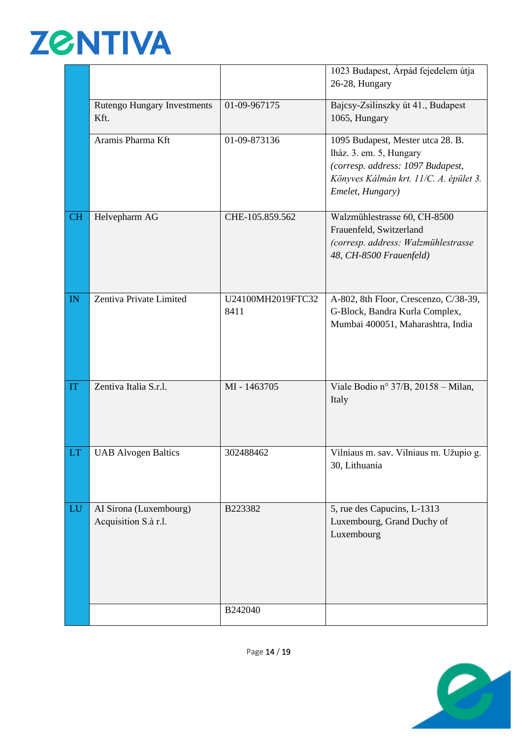# **ZGNTIVA**

|           |                                                |                           | 1023 Budapest, Árpád fejedelem útja<br>26-28, Hungary                                                                                                           |
|-----------|------------------------------------------------|---------------------------|-----------------------------------------------------------------------------------------------------------------------------------------------------------------|
|           | <b>Rutengo Hungary Investments</b><br>Kft.     | 01-09-967175              | Bajcsy-Zsilinszky út 41., Budapest<br>1065, Hungary                                                                                                             |
|           | Aramis Pharma Kft                              | 01-09-873136              | 1095 Budapest, Mester utca 28. B.<br>lház. 3. em. 5, Hungary<br>(corresp. address: 1097 Budapest,<br>Könyves Kálmán krt. 11/C. A. épület 3.<br>Emelet, Hungary) |
| <b>CH</b> | Helvepharm AG                                  | CHE-105.859.562           | Walzmühlestrasse 60, CH-8500<br>Frauenfeld, Switzerland<br>(corresp. address: Walzmühlestrasse<br>48, CH-8500 Frauenfeld)                                       |
| IN        | Zentiva Private Limited                        | U24100MH2019FTC32<br>8411 | A-802, 8th Floor, Crescenzo, C/38-39,<br>G-Block, Bandra Kurla Complex,<br>Mumbai 400051, Maharashtra, India                                                    |
| IT        | Zentiva Italia S.r.l.                          | MI - 1463705              | Viale Bodio nº 37/B, 20158 - Milan,<br>Italy                                                                                                                    |
| LT.       | <b>UAB Alvogen Baltics</b>                     | 302488462                 | Vilniaus m. sav. Vilniaus m. Užupio g.<br>30, Lithuania                                                                                                         |
| LU        | AI Sirona (Luxembourg)<br>Acquisition S.à r.l. | B223382                   | 5, rue des Capucins, L-1313<br>Luxembourg, Grand Duchy of<br>Luxembourg                                                                                         |
|           |                                                | B242040                   |                                                                                                                                                                 |

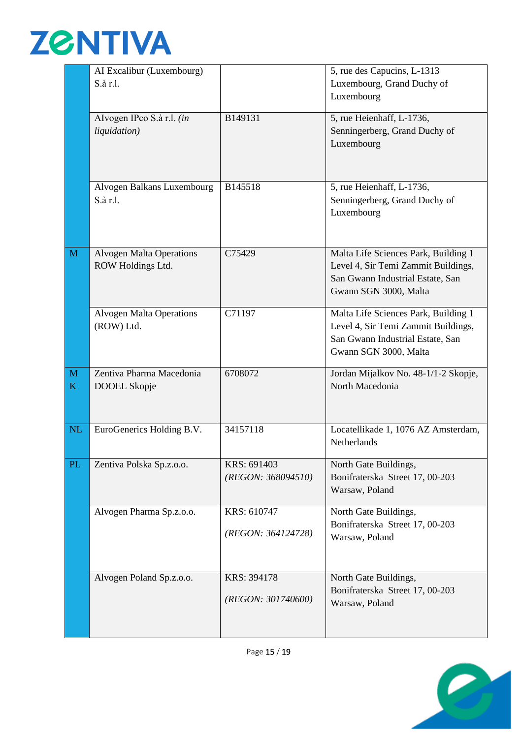

|               | AI Excalibur (Luxembourg)                     |                    | 5, rue des Capucins, L-1313          |
|---------------|-----------------------------------------------|--------------------|--------------------------------------|
|               | $S \hat{a}$ r.l.                              |                    | Luxembourg, Grand Duchy of           |
|               |                                               |                    | Luxembourg                           |
|               |                                               |                    |                                      |
|               | Alvogen IPco S.à r.l. (in                     | B149131            | 5, rue Heienhaff, L-1736,            |
|               | liquidation)                                  |                    | Senningerberg, Grand Duchy of        |
|               |                                               |                    | Luxembourg                           |
|               |                                               |                    |                                      |
|               |                                               |                    |                                      |
|               | Alvogen Balkans Luxembourg                    | B145518            | 5, rue Heienhaff, L-1736,            |
|               | $S \hat{a}$ r.l.                              |                    | Senningerberg, Grand Duchy of        |
|               |                                               |                    | Luxembourg                           |
|               |                                               |                    |                                      |
|               |                                               |                    |                                      |
| M             | <b>Alvogen Malta Operations</b>               | C75429             | Malta Life Sciences Park, Building 1 |
|               | ROW Holdings Ltd.                             |                    | Level 4, Sir Temi Zammit Buildings,  |
|               |                                               |                    | San Gwann Industrial Estate, San     |
|               |                                               |                    | Gwann SGN 3000, Malta                |
|               |                                               | C71197             | Malta Life Sciences Park, Building 1 |
|               | <b>Alvogen Malta Operations</b><br>(ROW) Ltd. |                    | Level 4, Sir Temi Zammit Buildings,  |
|               |                                               |                    | San Gwann Industrial Estate, San     |
|               |                                               |                    | Gwann SGN 3000, Malta                |
|               |                                               |                    |                                      |
| M             | Zentiva Pharma Macedonia                      | 6708072            | Jordan Mijalkov No. 48-1/1-2 Skopje, |
| K             | DOOEL Skopje                                  |                    | North Macedonia                      |
|               |                                               |                    |                                      |
|               |                                               |                    |                                      |
| $\mathbf{NL}$ | EuroGenerics Holding B.V.                     | 34157118           | Locatellikade 1, 1076 AZ Amsterdam,  |
|               |                                               |                    | Netherlands                          |
|               |                                               |                    |                                      |
| PL            | Zentiva Polska Sp.z.o.o.                      | KRS: 691403        | North Gate Buildings,                |
|               |                                               | (REGON: 368094510) | Bonifraterska Street 17, 00-203      |
|               |                                               |                    | Warsaw, Poland                       |
|               | Alvogen Pharma Sp.z.o.o.                      | KRS: 610747        | North Gate Buildings,                |
|               |                                               |                    | Bonifraterska Street 17, 00-203      |
|               |                                               | (REGON: 364124728) | Warsaw, Poland                       |
|               |                                               |                    |                                      |
|               |                                               |                    |                                      |
|               | Alvogen Poland Sp.z.o.o.                      | KRS: 394178        | North Gate Buildings,                |
|               |                                               |                    | Bonifraterska Street 17, 00-203      |
|               |                                               | (REGON: 301740600) | Warsaw, Poland                       |
|               |                                               |                    |                                      |
|               |                                               |                    |                                      |



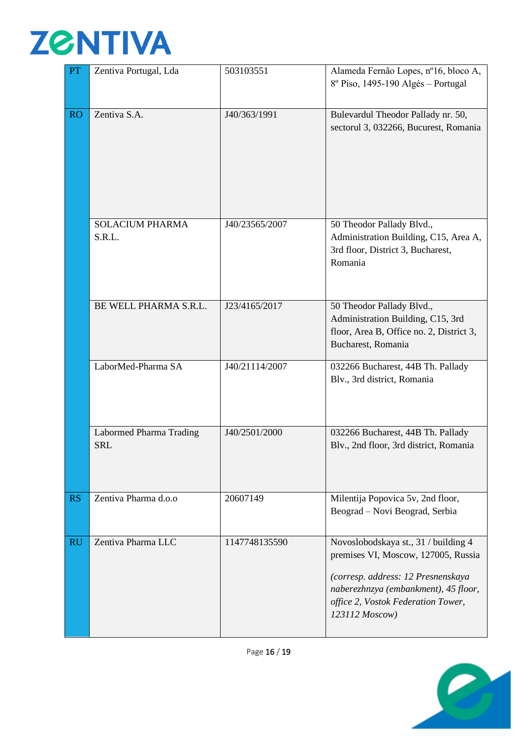

| PT        | Zentiva Portugal, Lda                 | 503103551      | Alameda Fernão Lopes, nº16, bloco A,<br>8º Piso, 1495-190 Algés - Portugal                                                                                                                                        |  |
|-----------|---------------------------------------|----------------|-------------------------------------------------------------------------------------------------------------------------------------------------------------------------------------------------------------------|--|
| <b>RO</b> | Zentiva S.A.                          | J40/363/1991   | Bulevardul Theodor Pallady nr. 50,<br>sectorul 3, 032266, Bucurest, Romania                                                                                                                                       |  |
|           | <b>SOLACIUM PHARMA</b><br>S.R.L.      | J40/23565/2007 | 50 Theodor Pallady Blvd.,<br>Administration Building, C15, Area A,<br>3rd floor, District 3, Bucharest,<br>Romania                                                                                                |  |
|           | BE WELL PHARMA S.R.L.                 | J23/4165/2017  | 50 Theodor Pallady Blvd.,<br>Administration Building, C15, 3rd<br>floor, Area B, Office no. 2, District 3,<br>Bucharest, Romania                                                                                  |  |
|           | LaborMed-Pharma SA                    | J40/21114/2007 | 032266 Bucharest, 44B Th. Pallady<br>Blv., 3rd district, Romania                                                                                                                                                  |  |
|           | Labormed Pharma Trading<br><b>SRL</b> | J40/2501/2000  | 032266 Bucharest, 44B Th. Pallady<br>Blv., 2nd floor, 3rd district, Romania                                                                                                                                       |  |
| <b>RS</b> | Zentiva Pharma d.o.o                  | 20607149       | Milentija Popovica 5v, 2nd floor,<br>Beograd – Novi Beograd, Serbia                                                                                                                                               |  |
| <b>RU</b> | Zentiva Pharma LLC                    | 1147748135590  | Novoslobodskaya st., 31 / building 4<br>premises VI, Moscow, 127005, Russia<br>(corresp. address: 12 Presnenskaya<br>naberezhnzya (embankment), 45 floor,<br>office 2, Vostok Federation Tower,<br>123112 Moscow) |  |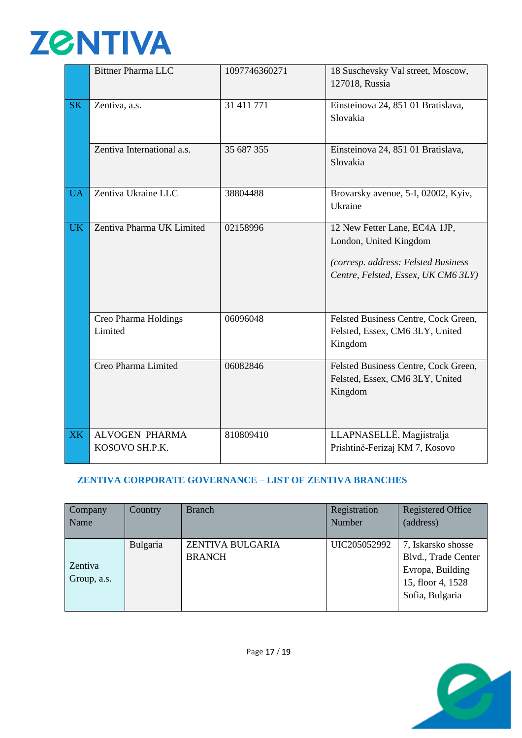

|           | <b>Bittner Pharma LLC</b>               | 1097746360271 | 18 Suschevsky Val street, Moscow,<br>127018, Russia                                                                                   |
|-----------|-----------------------------------------|---------------|---------------------------------------------------------------------------------------------------------------------------------------|
| <b>SK</b> | Zentiva, a.s.                           | 31 411 771    | Einsteinova 24, 851 01 Bratislava,<br>Slovakia                                                                                        |
|           | Zentiva International a.s.              | 35 687 355    | Einsteinova 24, 851 01 Bratislava,<br>Slovakia                                                                                        |
| <b>UA</b> | Zentiva Ukraine LLC                     | 38804488      | Brovarsky avenue, 5-I, 02002, Kyiv,<br>Ukraine                                                                                        |
| <b>UK</b> | Zentiva Pharma UK Limited               | 02158996      | 12 New Fetter Lane, EC4A 1JP,<br>London, United Kingdom<br>(corresp. address: Felsted Business<br>Centre, Felsted, Essex, UK CM6 3LY) |
|           | Creo Pharma Holdings<br>Limited         | 06096048      | Felsted Business Centre, Cock Green,<br>Felsted, Essex, CM6 3LY, United<br>Kingdom                                                    |
|           | Creo Pharma Limited                     | 06082846      | Felsted Business Centre, Cock Green,<br>Felsted, Essex, CM6 3LY, United<br>Kingdom                                                    |
| <b>XK</b> | <b>ALVOGEN PHARMA</b><br>KOSOVO SH.P.K. | 810809410     | LLAPNASELLË, Magjistralja<br>Prishtinë-Ferizaj KM 7, Kosovo                                                                           |

## **ZENTIVA CORPORATE GOVERNANCE – LIST OF ZENTIVA BRANCHES**

| Company<br>Name        | Country  | <b>Branch</b>                     | Registration<br>Number | <b>Registered Office</b><br>(address)                                                                 |
|------------------------|----------|-----------------------------------|------------------------|-------------------------------------------------------------------------------------------------------|
| Zentiva<br>Group, a.s. | Bulgaria | ZENTIVA BULGARIA<br><b>BRANCH</b> | UIC205052992           | 7, Iskarsko shosse<br>Blvd., Trade Center<br>Evropa, Building<br>15, floor 4, 1528<br>Sofia, Bulgaria |

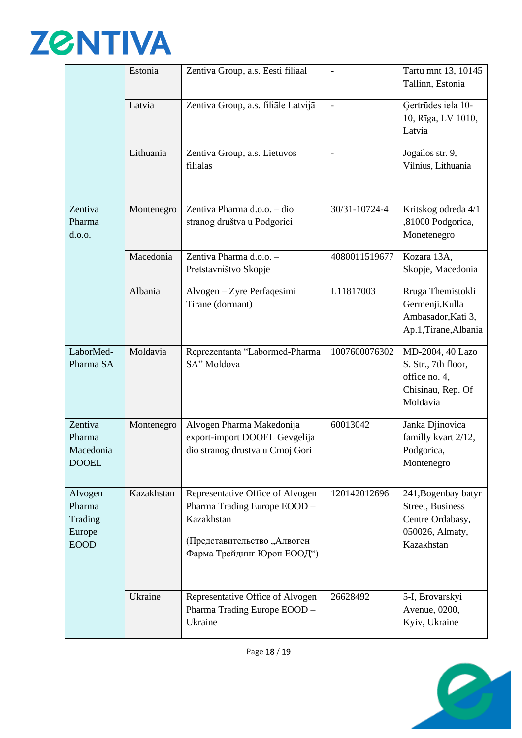

|                                                       | Estonia    | Zentiva Group, a.s. Eesti filiaal                                                                                                           | $\frac{1}{2}$            | Tartu mnt 13, 10145<br>Tallinn, Estonia                                                      |
|-------------------------------------------------------|------------|---------------------------------------------------------------------------------------------------------------------------------------------|--------------------------|----------------------------------------------------------------------------------------------|
|                                                       | Latvia     | Zentiva Group, a.s. filiāle Latvijā                                                                                                         | $\overline{a}$           | Gertrūdes iela 10-<br>10, Rīga, LV 1010,<br>Latvia                                           |
|                                                       | Lithuania  | Zentiva Group, a.s. Lietuvos<br>filialas                                                                                                    | $\overline{\phantom{0}}$ | Jogailos str. 9,<br>Vilnius, Lithuania                                                       |
| Zentiva<br>Pharma<br>d.o.o.                           | Montenegro | Zentiva Pharma d.o.o. - dio<br>stranog društva u Podgorici                                                                                  | 30/31-10724-4            | Kritskog odreda 4/1<br>,81000 Podgorica,<br>Monetenegro                                      |
|                                                       | Macedonia  | Zentiva Pharma d.o.o. -<br>Pretstavništvo Skopje                                                                                            | 4080011519677            | Kozara 13A,<br>Skopje, Macedonia                                                             |
|                                                       | Albania    | Alvogen - Zyre Perfaqesimi<br>Tirane (dormant)                                                                                              | L11817003                | Rruga Themistokli<br>Germenji, Kulla<br>Ambasador, Kati 3,<br>Ap.1, Tirane, Albania          |
| LaborMed-<br>Pharma SA                                | Moldavia   | Reprezentanta "Labormed-Pharma<br>SA" Moldova                                                                                               | 1007600076302            | MD-2004, 40 Lazo<br>S. Str., 7th floor,<br>office no. 4,<br>Chisinau, Rep. Of<br>Moldavia    |
| Zentiva<br>Pharma<br>Macedonia<br><b>DOOEL</b>        | Montenegro | Alvogen Pharma Makedonija<br>export-import DOOEL Gevgelija<br>dio stranog drustva u Crnoj Gori                                              | 60013042                 | Janka Djinovica<br>familly kvart 2/12,<br>Podgorica,<br>Montenegro                           |
| Alvogen<br>Pharma<br>Trading<br>Europe<br><b>EOOD</b> | Kazakhstan | Representative Office of Alvogen<br>Pharma Trading Europe EOOD -<br>Kazakhstan<br>(Представительство, Алвоген<br>Фарма Трейдинг Юроп ЕООД") | 120142012696             | 241, Bogenbay batyr<br>Street, Business<br>Centre Ordabasy,<br>050026, Almaty,<br>Kazakhstan |
|                                                       | Ukraine    | Representative Office of Alvogen<br>Pharma Trading Europe EOOD -<br>Ukraine                                                                 | 26628492                 | 5-I, Brovarskyi<br>Avenue, 0200,<br>Kyiv, Ukraine                                            |